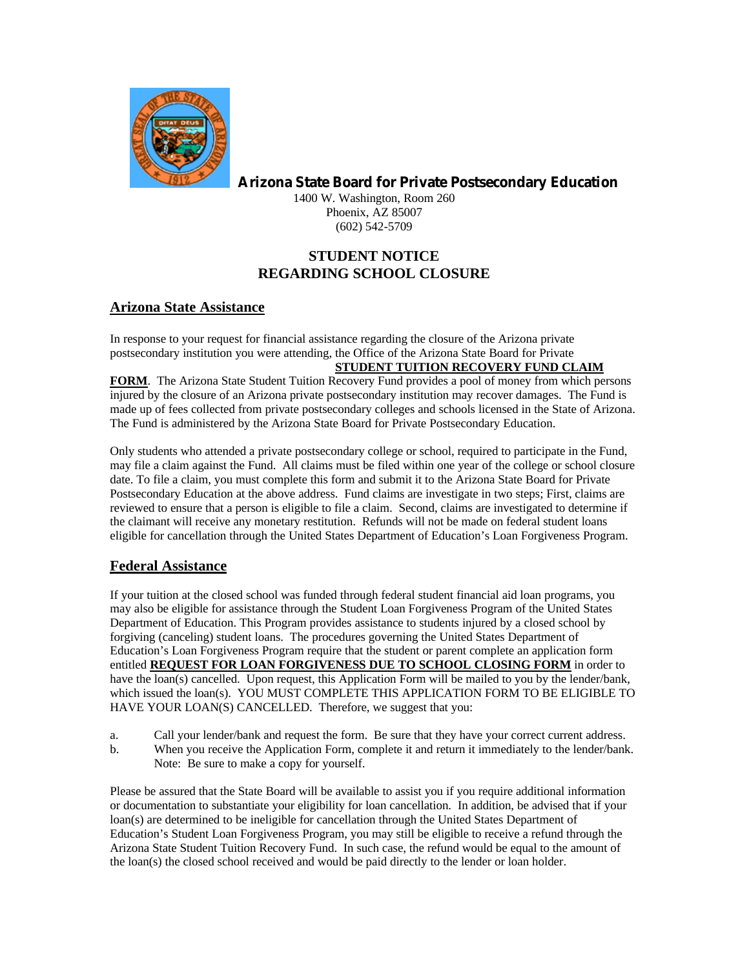

**Arizona State Board for Private Postsecondary Education**

1400 W. Washington, Room 260 Phoenix, AZ 85007 (602) 542-5709

# **STUDENT NOTICE REGARDING SCHOOL CLOSURE**

## **Arizona State Assistance**

In response to your request for financial assistance regarding the closure of the Arizona private postsecondary institution you were attending, the Office of the Arizona State Board for Private **STUDENT TUITION RECOVERY FUND CLAIM** 

#### **FORM**. The Arizona State Student Tuition Recovery Fund provides a pool of money from which persons injured by the closure of an Arizona private postsecondary institution may recover damages. The Fund is made up of fees collected from private postsecondary colleges and schools licensed in the State of Arizona. The Fund is administered by the Arizona State Board for Private Postsecondary Education.

Only students who attended a private postsecondary college or school, required to participate in the Fund, may file a claim against the Fund. All claims must be filed within one year of the college or school closure date. To file a claim, you must complete this form and submit it to the Arizona State Board for Private Postsecondary Education at the above address. Fund claims are investigate in two steps; First, claims are reviewed to ensure that a person is eligible to file a claim. Second, claims are investigated to determine if the claimant will receive any monetary restitution. Refunds will not be made on federal student loans eligible for cancellation through the United States Department of Education's Loan Forgiveness Program.

## **Federal Assistance**

If your tuition at the closed school was funded through federal student financial aid loan programs, you may also be eligible for assistance through the Student Loan Forgiveness Program of the United States Department of Education. This Program provides assistance to students injured by a closed school by forgiving (canceling) student loans. The procedures governing the United States Department of Education's Loan Forgiveness Program require that the student or parent complete an application form entitled **REQUEST FOR LOAN FORGIVENESS DUE TO SCHOOL CLOSING FORM** in order to have the loan(s) cancelled. Upon request, this Application Form will be mailed to you by the lender/bank, which issued the loan(s). YOU MUST COMPLETE THIS APPLICATION FORM TO BE ELIGIBLE TO HAVE YOUR LOAN(S) CANCELLED. Therefore, we suggest that you:

- a. Call your lender/bank and request the form. Be sure that they have your correct current address.
- b. When you receive the Application Form, complete it and return it immediately to the lender/bank. Note: Be sure to make a copy for yourself.

Please be assured that the State Board will be available to assist you if you require additional information or documentation to substantiate your eligibility for loan cancellation. In addition, be advised that if your loan(s) are determined to be ineligible for cancellation through the United States Department of Education's Student Loan Forgiveness Program, you may still be eligible to receive a refund through the Arizona State Student Tuition Recovery Fund. In such case, the refund would be equal to the amount of the loan(s) the closed school received and would be paid directly to the lender or loan holder.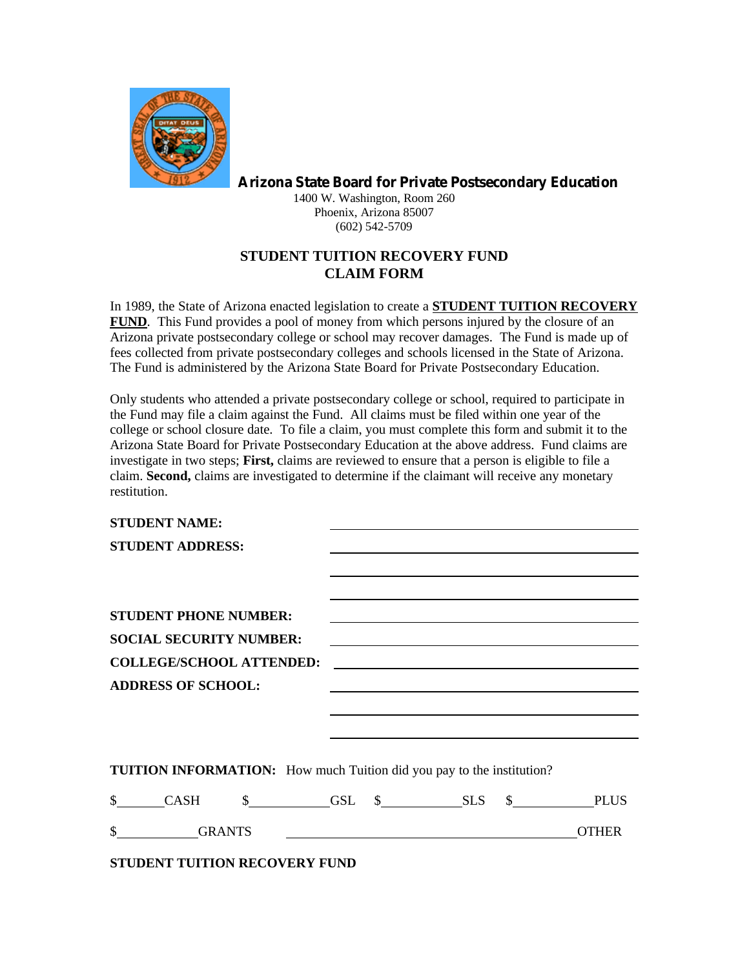

**Arizona State Board for Private Postsecondary Education**

1400 W. Washington, Room 260 Phoenix, Arizona 85007 (602) 542-5709

# **STUDENT TUITION RECOVERY FUND CLAIM FORM**

In 1989, the State of Arizona enacted legislation to create a **STUDENT TUITION RECOVERY FUND**. This Fund provides a pool of money from which persons injured by the closure of an Arizona private postsecondary college or school may recover damages. The Fund is made up of fees collected from private postsecondary colleges and schools licensed in the State of Arizona. The Fund is administered by the Arizona State Board for Private Postsecondary Education.

Only students who attended a private postsecondary college or school, required to participate in the Fund may file a claim against the Fund. All claims must be filed within one year of the college or school closure date. To file a claim, you must complete this form and submit it to the Arizona State Board for Private Postsecondary Education at the above address. Fund claims are investigate in two steps; **First,** claims are reviewed to ensure that a person is eligible to file a claim. **Second,** claims are investigated to determine if the claimant will receive any monetary restitution.

| <b>STUDENT NAME:</b>                 |  |                                                                                                                      |                               |
|--------------------------------------|--|----------------------------------------------------------------------------------------------------------------------|-------------------------------|
| <b>STUDENT ADDRESS:</b>              |  |                                                                                                                      |                               |
|                                      |  |                                                                                                                      |                               |
|                                      |  |                                                                                                                      |                               |
| <b>STUDENT PHONE NUMBER:</b>         |  |                                                                                                                      |                               |
| <b>SOCIAL SECURITY NUMBER:</b>       |  |                                                                                                                      |                               |
| <b>COLLEGE/SCHOOL ATTENDED:</b>      |  | <u> Alexandria de la contrada de la contrada de la contrada de la contrada de la contrada de la contrada de la c</u> |                               |
| <b>ADDRESS OF SCHOOL:</b>            |  |                                                                                                                      |                               |
|                                      |  |                                                                                                                      |                               |
|                                      |  |                                                                                                                      |                               |
|                                      |  |                                                                                                                      |                               |
|                                      |  | <b>TUITION INFORMATION:</b> How much Tuition did you pay to the institution?                                         |                               |
|                                      |  |                                                                                                                      | \$ CASH \$ GSL \$ SLS \$ PLUS |
|                                      |  |                                                                                                                      | <b>OTHER</b>                  |
| <b>STUDENT TUITION RECOVERY FUND</b> |  |                                                                                                                      |                               |